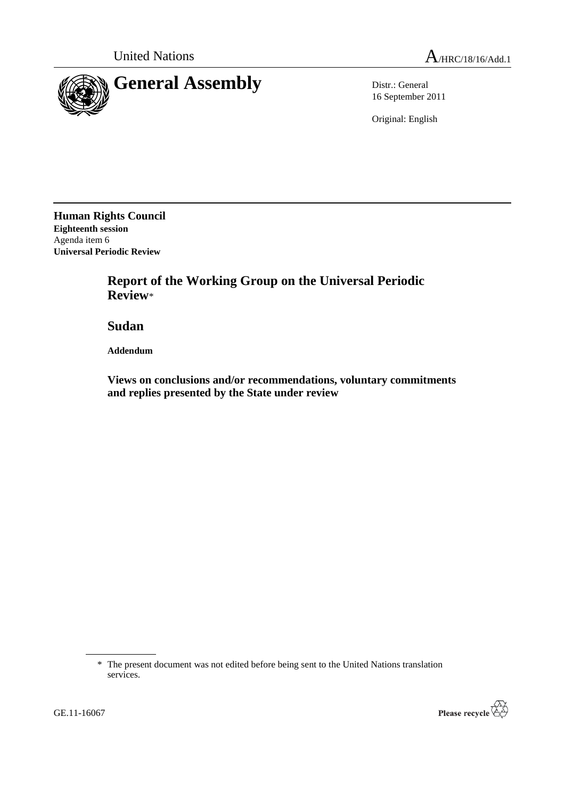

16 September 2011

Original: English

**Human Rights Council Eighteenth session** Agenda item 6 **Universal Periodic Review**

> **Report of the Working Group on the Universal Periodic Review**\*

**Sudan**

**Addendum**

**Views on conclusions and/or recommendations, voluntary commitments and replies presented by the State under review**



<sup>\*</sup> The present document was not edited before being sent to the United Nations translation services.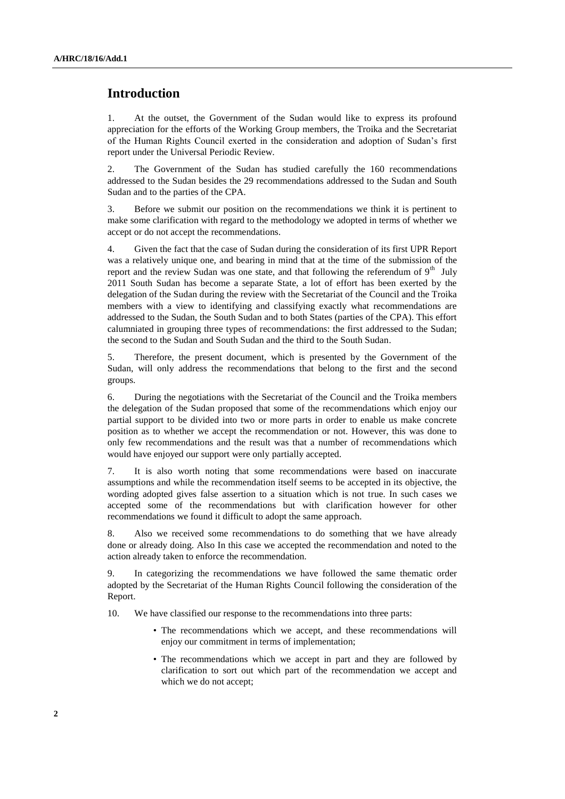# **Introduction**

1. At the outset, the Government of the Sudan would like to express its profound appreciation for the efforts of the Working Group members, the Troika and the Secretariat of the Human Rights Council exerted in the consideration and adoption of Sudan's first report under the Universal Periodic Review.

2. The Government of the Sudan has studied carefully the 160 recommendations addressed to the Sudan besides the 29 recommendations addressed to the Sudan and South Sudan and to the parties of the CPA.

3. Before we submit our position on the recommendations we think it is pertinent to make some clarification with regard to the methodology we adopted in terms of whether we accept or do not accept the recommendations.

4. Given the fact that the case of Sudan during the consideration of its first UPR Report was a relatively unique one, and bearing in mind that at the time of the submission of the report and the review Sudan was one state, and that following the referendum of 9<sup>th</sup> July 2011 South Sudan has become a separate State, a lot of effort has been exerted by the delegation of the Sudan during the review with the Secretariat of the Council and the Troika members with a view to identifying and classifying exactly what recommendations are addressed to the Sudan, the South Sudan and to both States (parties of the CPA). This effort calumniated in grouping three types of recommendations: the first addressed to the Sudan; the second to the Sudan and South Sudan and the third to the South Sudan.

5. Therefore, the present document, which is presented by the Government of the Sudan, will only address the recommendations that belong to the first and the second groups.

6. During the negotiations with the Secretariat of the Council and the Troika members the delegation of the Sudan proposed that some of the recommendations which enjoy our partial support to be divided into two or more parts in order to enable us make concrete position as to whether we accept the recommendation or not. However, this was done to only few recommendations and the result was that a number of recommendations which would have enjoyed our support were only partially accepted.

7. It is also worth noting that some recommendations were based on inaccurate assumptions and while the recommendation itself seems to be accepted in its objective, the wording adopted gives false assertion to a situation which is not true. In such cases we accepted some of the recommendations but with clarification however for other recommendations we found it difficult to adopt the same approach.

8. Also we received some recommendations to do something that we have already done or already doing. Also In this case we accepted the recommendation and noted to the action already taken to enforce the recommendation.

9. In categorizing the recommendations we have followed the same thematic order adopted by the Secretariat of the Human Rights Council following the consideration of the Report.

10. We have classified our response to the recommendations into three parts:

- The recommendations which we accept, and these recommendations will enjoy our commitment in terms of implementation;
- The recommendations which we accept in part and they are followed by clarification to sort out which part of the recommendation we accept and which we do not accept;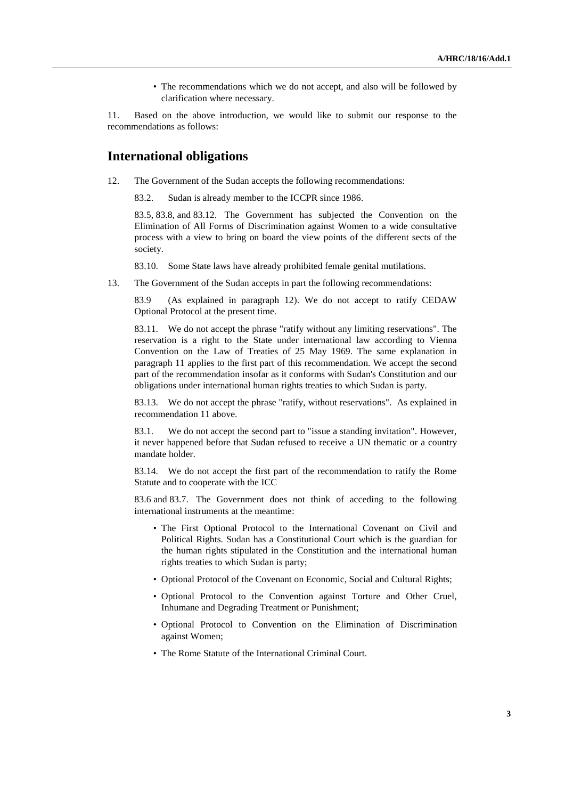• The recommendations which we do not accept, and also will be followed by clarification where necessary.

11. Based on the above introduction, we would like to submit our response to the recommendations as follows:

# **International obligations**

12. The Government of the Sudan accepts the following recommendations:

83.2. Sudan is already member to the ICCPR since 1986.

83.5, 83.8, and 83.12. The Government has subjected the Convention on the Elimination of All Forms of Discrimination against Women to a wide consultative process with a view to bring on board the view points of the different sects of the society.

83.10. Some State laws have already prohibited female genital mutilations.

13. The Government of the Sudan accepts in part the following recommendations:

83.9 (As explained in paragraph 12). We do not accept to ratify CEDAW Optional Protocol at the present time.

83.11. We do not accept the phrase "ratify without any limiting reservations". The reservation is a right to the State under international law according to Vienna Convention on the Law of Treaties of 25 May 1969. The same explanation in paragraph 11 applies to the first part of this recommendation. We accept the second part of the recommendation insofar as it conforms with Sudan's Constitution and our obligations under international human rights treaties to which Sudan is party.

83.13. We do not accept the phrase "ratify, without reservations". As explained in recommendation 11 above.

83.1. We do not accept the second part to "issue a standing invitation". However, it never happened before that Sudan refused to receive a UN thematic or a country mandate holder.

83.14. We do not accept the first part of the recommendation to ratify the Rome Statute and to cooperate with the ICC

83.6 and 83.7. The Government does not think of acceding to the following international instruments at the meantime:

- The First Optional Protocol to the International Covenant on Civil and Political Rights. Sudan has a Constitutional Court which is the guardian for the human rights stipulated in the Constitution and the international human rights treaties to which Sudan is party;
- Optional Protocol of the Covenant on Economic, Social and Cultural Rights;
- Optional Protocol to the Convention against Torture and Other Cruel, Inhumane and Degrading Treatment or Punishment;
- Optional Protocol to Convention on the Elimination of Discrimination against Women;
- The Rome Statute of the International Criminal Court.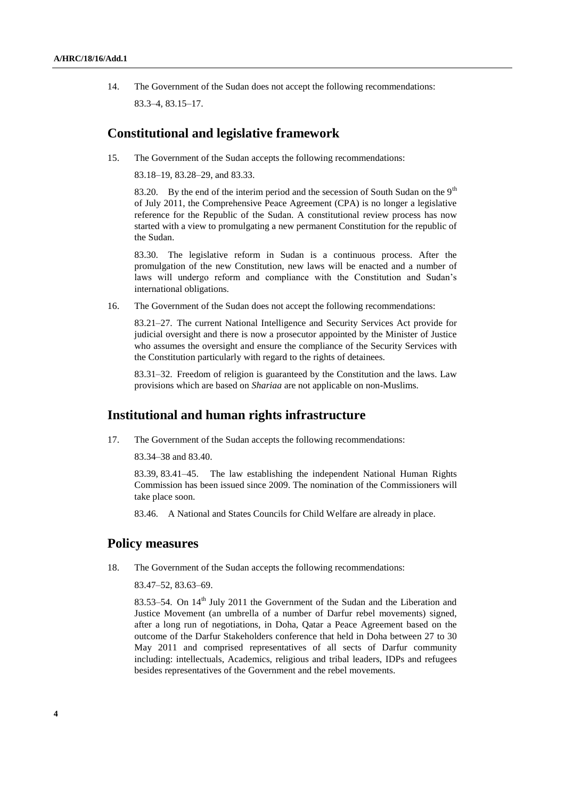14. The Government of the Sudan does not accept the following recommendations: 83.3–4, 83.15–17.

### **Constitutional and legislative framework**

15. The Government of the Sudan accepts the following recommendations:

83.18–19, 83.28–29, and 83.33.

83.20. By the end of the interim period and the secession of South Sudan on the  $9<sup>th</sup>$ of July 2011, the Comprehensive Peace Agreement (CPA) is no longer a legislative reference for the Republic of the Sudan. A constitutional review process has now started with a view to promulgating a new permanent Constitution for the republic of the Sudan.

83.30. The legislative reform in Sudan is a continuous process. After the promulgation of the new Constitution, new laws will be enacted and a number of laws will undergo reform and compliance with the Constitution and Sudan's international obligations.

16. The Government of the Sudan does not accept the following recommendations:

83.21–27. The current National Intelligence and Security Services Act provide for judicial oversight and there is now a prosecutor appointed by the Minister of Justice who assumes the oversight and ensure the compliance of the Security Services with the Constitution particularly with regard to the rights of detainees.

83.31–32. Freedom of religion is guaranteed by the Constitution and the laws. Law provisions which are based on *Shariaa* are not applicable on non-Muslims.

## **Institutional and human rights infrastructure**

17. The Government of the Sudan accepts the following recommendations:

83.34–38 and 83.40.

83.39, 83.41–45. The law establishing the independent National Human Rights Commission has been issued since 2009. The nomination of the Commissioners will take place soon.

83.46. A National and States Councils for Child Welfare are already in place.

#### **Policy measures**

18. The Government of the Sudan accepts the following recommendations:

83.47–52, 83.63–69.

83.53–54. On 14<sup>th</sup> July 2011 the Government of the Sudan and the Liberation and Justice Movement (an umbrella of a number of Darfur rebel movements) signed, after a long run of negotiations, in Doha, Qatar a Peace Agreement based on the outcome of the Darfur Stakeholders conference that held in Doha between 27 to 30 May 2011 and comprised representatives of all sects of Darfur community including: intellectuals, Academics, religious and tribal leaders, IDPs and refugees besides representatives of the Government and the rebel movements.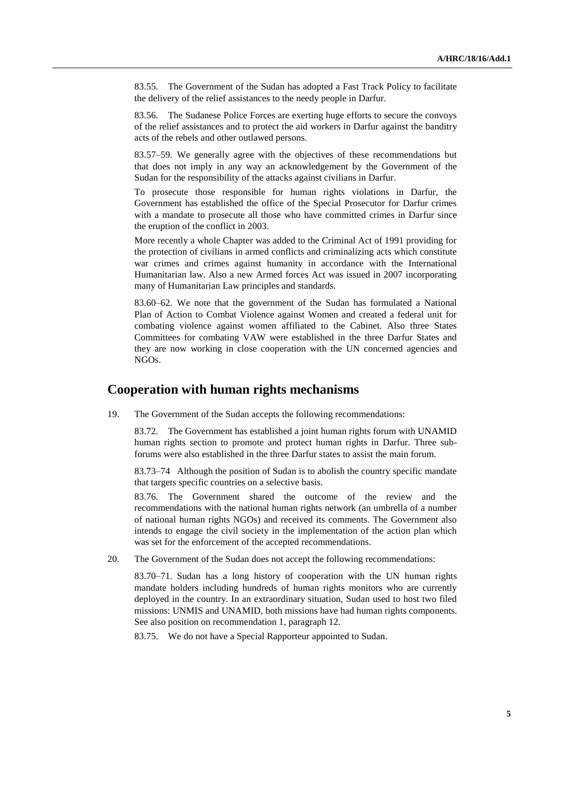83.55. The Government of the Sudan has adopted a Fast Track Policy to facilitate the delivery of the relief assistances to the needy people in Darfur.

83.56. The Sudanese Police Forces are exerting huge efforts to secure the convoys of the relief assistances and to protect the aid workers in Darfur against the banditry acts of the rebels and other outlawed persons.

83.57–59. We generally agree with the objectives of these recommendations but that does not imply in any way an acknowledgement by the Government of the Sudan for the responsibility of the attacks against civilians in Darfur.

To prosecute those responsible for human rights violations in Darfur, the Government has established the office of the Special Prosecutor for Darfur crimes with a mandate to prosecute all those who have committed crimes in Darfur since the eruption of the conflict in 2003.

More recently a whole Chapter was added to the Criminal Act of 1991 providing for the protection of civilians in armed conflicts and criminalizing acts which constitute war crimes and crimes against humanity in accordance with the International Humanitarian law. Also a new Armed forces Act was issued in 2007 incorporating many of Humanitarian Law principles and standards.

83.60–62. We note that the government of the Sudan has formulated a National Plan of Action to Combat Violence against Women and created a federal unit for combating violence against women affiliated to the Cabinet. Also three States Committees for combating VAW were established in the three Darfur States and they are now working in close cooperation with the UN concerned agencies and NGOs.

### **Cooperation with human rights mechanisms**

19. The Government of the Sudan accepts the following recommendations:

83.72. The Government has established a joint human rights forum with UNAMID human rights section to promote and protect human rights in Darfur. Three subforums were also established in the three Darfur states to assist the main forum.

83.73–74 Although the position of Sudan is to abolish the country specific mandate that targets specific countries on a selective basis.

83.76. The Government shared the outcome of the review and the recommendations with the national human rights network (an umbrella of a number of national human rights NGOs) and received its comments. The Government also intends to engage the civil society in the implementation of the action plan which was set for the enforcement of the accepted recommendations.

20. The Government of the Sudan does not accept the following recommendations:

83.70–71. Sudan has a long history of cooperation with the UN human rights mandate holders including hundreds of human rights monitors who are currently deployed in the country. In an extraordinary situation, Sudan used to host two filed missions: UNMIS and UNAMID, both missions have had human rights components. See also position on recommendation 1, paragraph 12.

83.75. We do not have a Special Rapporteur appointed to Sudan.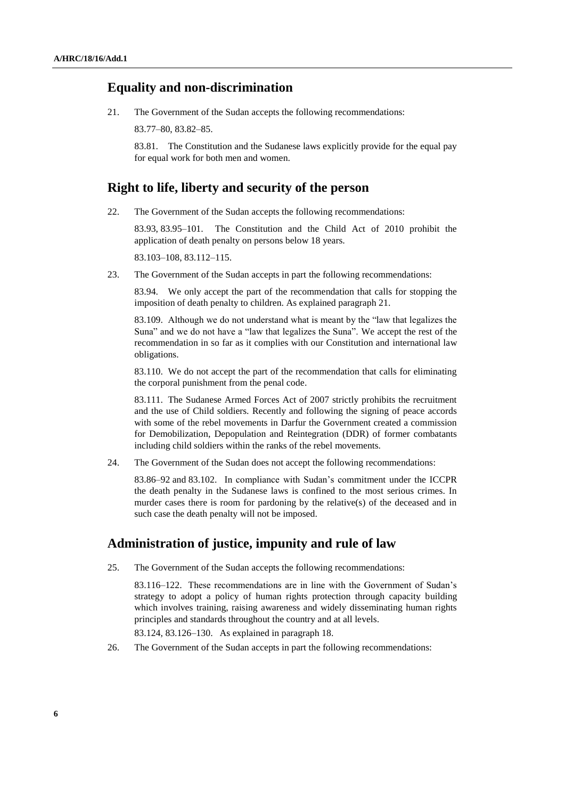#### **Equality and non-discrimination**

21. The Government of the Sudan accepts the following recommendations:

83.77–80, 83.82–85.

83.81. The Constitution and the Sudanese laws explicitly provide for the equal pay for equal work for both men and women.

### **Right to life, liberty and security of the person**

22. The Government of the Sudan accepts the following recommendations:

83.93, 83.95–101. The Constitution and the Child Act of 2010 prohibit the application of death penalty on persons below 18 years.

83.103–108, 83.112–115.

23. The Government of the Sudan accepts in part the following recommendations:

83.94. We only accept the part of the recommendation that calls for stopping the imposition of death penalty to children. As explained paragraph 21.

83.109. Although we do not understand what is meant by the "law that legalizes the Suna" and we do not have a "law that legalizes the Suna". We accept the rest of the recommendation in so far as it complies with our Constitution and international law obligations.

83.110. We do not accept the part of the recommendation that calls for eliminating the corporal punishment from the penal code.

83.111. The Sudanese Armed Forces Act of 2007 strictly prohibits the recruitment and the use of Child soldiers. Recently and following the signing of peace accords with some of the rebel movements in Darfur the Government created a commission for Demobilization, Depopulation and Reintegration (DDR) of former combatants including child soldiers within the ranks of the rebel movements.

24. The Government of the Sudan does not accept the following recommendations:

83.86–92 and 83.102. In compliance with Sudan's commitment under the ICCPR the death penalty in the Sudanese laws is confined to the most serious crimes. In murder cases there is room for pardoning by the relative(s) of the deceased and in such case the death penalty will not be imposed.

# **Administration of justice, impunity and rule of law**

25. The Government of the Sudan accepts the following recommendations:

83.116–122. These recommendations are in line with the Government of Sudan's strategy to adopt a policy of human rights protection through capacity building which involves training, raising awareness and widely disseminating human rights principles and standards throughout the country and at all levels.

83.124, 83.126–130. As explained in paragraph 18.

26. The Government of the Sudan accepts in part the following recommendations: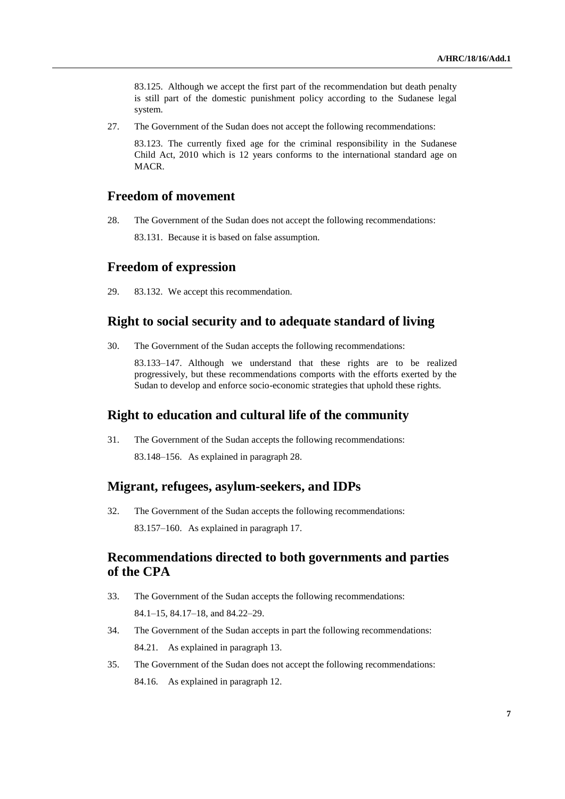83.125. Although we accept the first part of the recommendation but death penalty is still part of the domestic punishment policy according to the Sudanese legal system.

27. The Government of the Sudan does not accept the following recommendations:

83.123. The currently fixed age for the criminal responsibility in the Sudanese Child Act, 2010 which is 12 years conforms to the international standard age on MACR.

# **Freedom of movement**

28. The Government of the Sudan does not accept the following recommendations:

83.131. Because it is based on false assumption.

## **Freedom of expression**

29. 83.132. We accept this recommendation.

### **Right to social security and to adequate standard of living**

30. The Government of the Sudan accepts the following recommendations:

83.133–147. Although we understand that these rights are to be realized progressively, but these recommendations comports with the efforts exerted by the Sudan to develop and enforce socio-economic strategies that uphold these rights.

#### **Right to education and cultural life of the community**

31. The Government of the Sudan accepts the following recommendations: 83.148–156. As explained in paragraph 28.

### **Migrant, refugees, asylum-seekers, and IDPs**

32. The Government of the Sudan accepts the following recommendations: 83.157–160. As explained in paragraph 17.

# **Recommendations directed to both governments and parties of the CPA**

- 33. The Government of the Sudan accepts the following recommendations: 84.1–15, 84.17–18, and 84.22–29.
- 34. The Government of the Sudan accepts in part the following recommendations: 84.21. As explained in paragraph 13.
- 35. The Government of the Sudan does not accept the following recommendations: 84.16. As explained in paragraph 12.